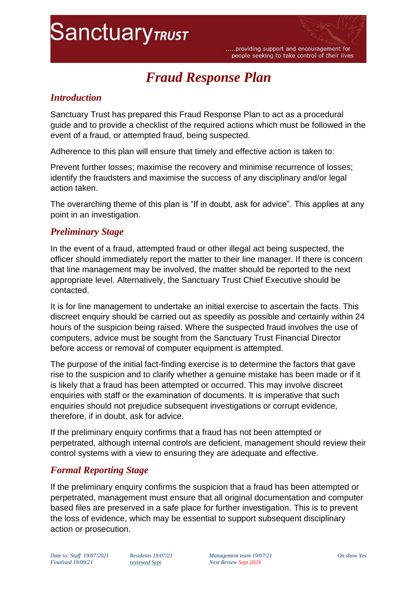# **SanctuaryTRUST**

.....providing support and encouragement for people seeking to take control of their lives

# *Fraud Response Plan*

#### *Introduction*

Sanctuary Trust has prepared this Fraud Response Plan to act as a procedural guide and to provide a checklist of the required actions which must be followed in the event of a fraud, or attempted fraud, being suspected.

Adherence to this plan will ensure that timely and effective action is taken to:

Prevent further losses; maximise the recovery and minimise recurrence of losses; identify the fraudsters and maximise the success of any disciplinary and/or legal action taken.

The overarching theme of this plan is "If in doubt, ask for advice". This applies at any point in an investigation.

#### *Preliminary Stage*

In the event of a fraud, attempted fraud or other illegal act being suspected, the officer should immediately report the matter to their line manager. If there is concern that line management may be involved, the matter should be reported to the next appropriate level. Alternatively, the Sanctuary Trust Chief Executive should be contacted.

It is for line management to undertake an initial exercise to ascertain the facts. This discreet enquiry should be carried out as speedily as possible and certainly within 24 hours of the suspicion being raised. Where the suspected fraud involves the use of computers, advice must be sought from the Sanctuary Trust Financial Director before access or removal of computer equipment is attempted.

The purpose of the initial fact-finding exercise is to determine the factors that gave rise to the suspicion and to clarify whether a genuine mistake has been made or if it is likely that a fraud has been attempted or occurred. This may involve discreet enquiries with staff or the examination of documents. It is imperative that such enquiries should not prejudice subsequent investigations or corrupt evidence, therefore, if in doubt, ask for advice.

If the preliminary enquiry confirms that a fraud has not been attempted or perpetrated, although internal controls are deficient, management should review their control systems with a view to ensuring they are adequate and effective.

# *Formal Reporting Stage*

If the preliminary enquiry confirms the suspicion that a fraud has been attempted or perpetrated, management must ensure that all original documentation and computer based files are preserved in a safe place for further investigation. This is to prevent the loss of evidence, which may be essential to support subsequent disciplinary action or prosecution.

*Date to: Staff 19/07/2021 Residents 19/07/21 Management team 19/07/21 On show Yes Finalised 19/09/21 reviewed Sept Next Review Sept 2024*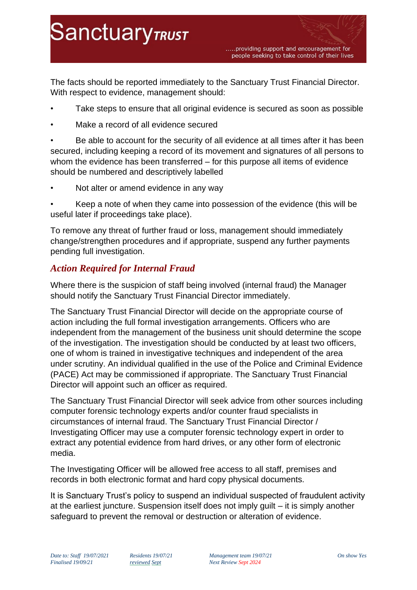The facts should be reported immediately to the Sanctuary Trust Financial Director. With respect to evidence, management should:

- Take steps to ensure that all original evidence is secured as soon as possible
- Make a record of all evidence secured

**SanctuaryTRUST** 

• Be able to account for the security of all evidence at all times after it has been secured, including keeping a record of its movement and signatures of all persons to whom the evidence has been transferred – for this purpose all items of evidence should be numbered and descriptively labelled

Not alter or amend evidence in any way

• Keep a note of when they came into possession of the evidence (this will be useful later if proceedings take place).

To remove any threat of further fraud or loss, management should immediately change/strengthen procedures and if appropriate, suspend any further payments pending full investigation.

### *Action Required for Internal Fraud*

Where there is the suspicion of staff being involved (internal fraud) the Manager should notify the Sanctuary Trust Financial Director immediately.

The Sanctuary Trust Financial Director will decide on the appropriate course of action including the full formal investigation arrangements. Officers who are independent from the management of the business unit should determine the scope of the investigation. The investigation should be conducted by at least two officers, one of whom is trained in investigative techniques and independent of the area under scrutiny. An individual qualified in the use of the Police and Criminal Evidence (PACE) Act may be commissioned if appropriate. The Sanctuary Trust Financial Director will appoint such an officer as required.

The Sanctuary Trust Financial Director will seek advice from other sources including computer forensic technology experts and/or counter fraud specialists in circumstances of internal fraud. The Sanctuary Trust Financial Director / Investigating Officer may use a computer forensic technology expert in order to extract any potential evidence from hard drives, or any other form of electronic media.

The Investigating Officer will be allowed free access to all staff, premises and records in both electronic format and hard copy physical documents.

It is Sanctuary Trust's policy to suspend an individual suspected of fraudulent activity at the earliest juncture. Suspension itself does not imply guilt – it is simply another safeguard to prevent the removal or destruction or alteration of evidence.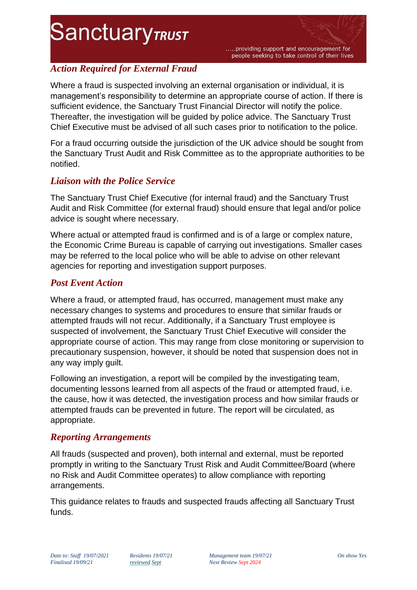# **SanctuaryTRUST**

.....providing support and encouragement for people seeking to take control of their lives

# *Action Required for External Fraud*

Where a fraud is suspected involving an external organisation or individual, it is management's responsibility to determine an appropriate course of action. If there is sufficient evidence, the Sanctuary Trust Financial Director will notify the police. Thereafter, the investigation will be guided by police advice. The Sanctuary Trust Chief Executive must be advised of all such cases prior to notification to the police.

For a fraud occurring outside the jurisdiction of the UK advice should be sought from the Sanctuary Trust Audit and Risk Committee as to the appropriate authorities to be notified.

# *Liaison with the Police Service*

The Sanctuary Trust Chief Executive (for internal fraud) and the Sanctuary Trust Audit and Risk Committee (for external fraud) should ensure that legal and/or police advice is sought where necessary.

Where actual or attempted fraud is confirmed and is of a large or complex nature, the Economic Crime Bureau is capable of carrying out investigations. Smaller cases may be referred to the local police who will be able to advise on other relevant agencies for reporting and investigation support purposes.

### *Post Event Action*

Where a fraud, or attempted fraud, has occurred, management must make any necessary changes to systems and procedures to ensure that similar frauds or attempted frauds will not recur. Additionally, if a Sanctuary Trust employee is suspected of involvement, the Sanctuary Trust Chief Executive will consider the appropriate course of action. This may range from close monitoring or supervision to precautionary suspension, however, it should be noted that suspension does not in any way imply guilt.

Following an investigation, a report will be compiled by the investigating team, documenting lessons learned from all aspects of the fraud or attempted fraud, i.e. the cause, how it was detected, the investigation process and how similar frauds or attempted frauds can be prevented in future. The report will be circulated, as appropriate.

# *Reporting Arrangements*

All frauds (suspected and proven), both internal and external, must be reported promptly in writing to the Sanctuary Trust Risk and Audit Committee/Board (where no Risk and Audit Committee operates) to allow compliance with reporting arrangements.

This guidance relates to frauds and suspected frauds affecting all Sanctuary Trust funds.